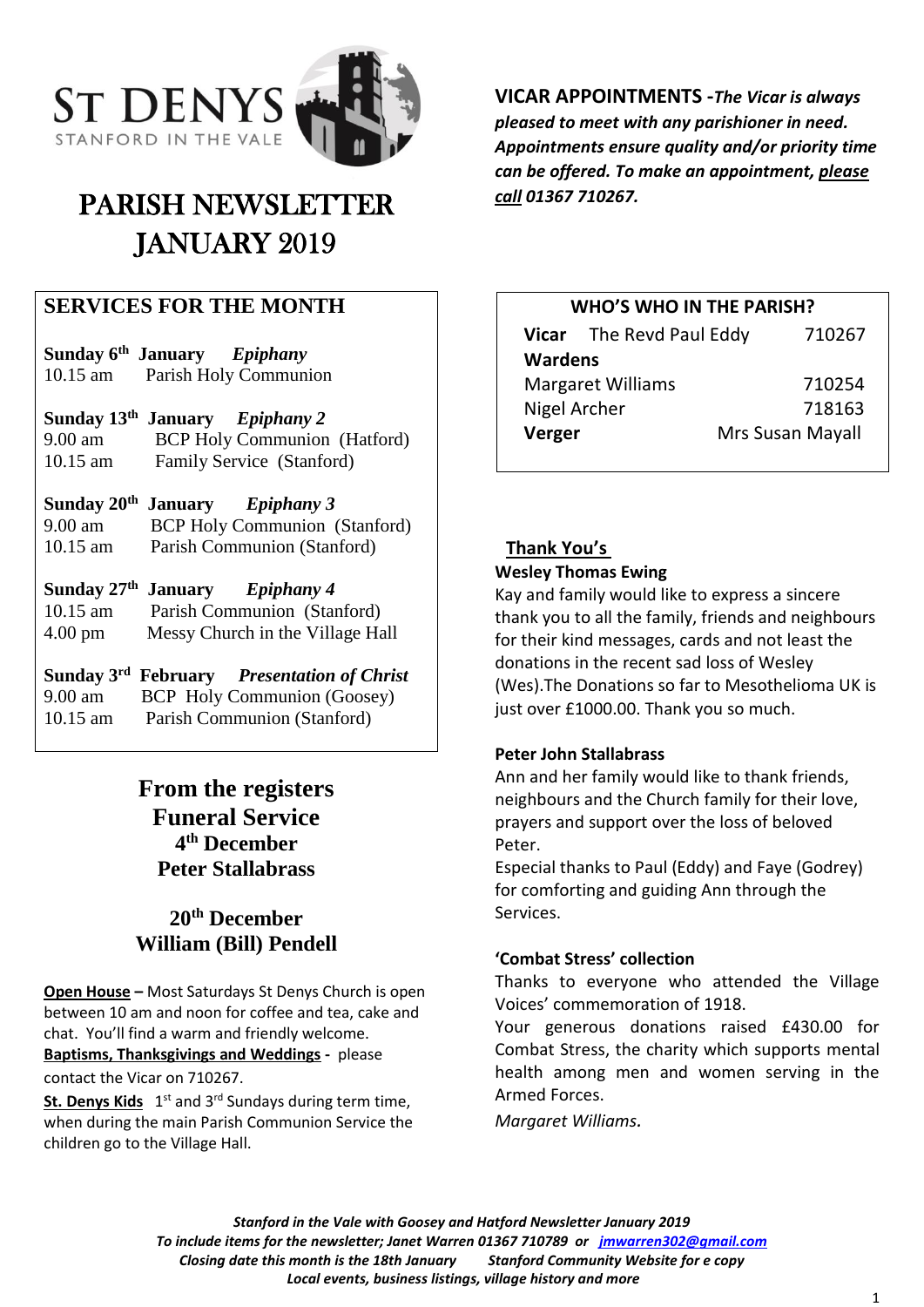

# PARISH NEWSLETTER JANUARY 2019

# **SERVICES FOR THE MONTH**

| Sunday 6 <sup>th</sup> January | Epiphany              |
|--------------------------------|-----------------------|
| $10.15$ am                     | Parish Holy Communion |

**Sunday 13 th January** *Epiphany 2* 9.00 am BCP Holy Communion (Hatford) 10.15 am Family Service (Stanford)

**Sunday 20 th January** *Epiphany 3* 9.00 am BCP Holy Communion (Stanford) 10.15 am Parish Communion (Stanford)

#### **Sunday 27 th** *Epiphany* 4 10.15 am Parish Communion (Stanford)

4.00 pm Messy Church in the Village Hall

| Sunday 3rd February | <b>Presentation of Christ</b>      |
|---------------------|------------------------------------|
| $9.00 \text{ am}$   | <b>BCP</b> Holy Communion (Goosey) |
| $10.15$ am          | Parish Communion (Stanford)        |

# **From the registers Funeral Service 4 th December Peter Stallabrass**

# **20th December William (Bill) Pendell**

**Open House –** Most Saturdays St Denys Church is open between 10 am and noon for coffee and tea, cake and chat. You'll find a warm and friendly welcome. **Baptisms, Thanksgivings and Weddings -** please

contact the Vicar on 710267.

St. Denys Kids 1<sup>st</sup> and 3<sup>rd</sup> Sundays during term time, when during the main Parish Communion Service the children go to the Village Hall.

**VICAR APPOINTMENTS -***The Vicar is always pleased to meet with any parishioner in need. Appointments ensure quality and/or priority time can be offered. To make an appointment, please call 01367 710267.*

#### **WHO'S WHO IN THE PARISH?**

|                          | Vicar The Revd Paul Eddy | 710267           |  |
|--------------------------|--------------------------|------------------|--|
| <b>Wardens</b>           |                          |                  |  |
| <b>Margaret Williams</b> |                          | 710254           |  |
| Nigel Archer             |                          | 718163           |  |
| Verger                   |                          | Mrs Susan Mayall |  |

# **Thank You's**

#### **Wesley Thomas Ewing**

Kay and family would like to express a sincere thank you to all the family, friends and neighbours for their kind messages, cards and not least the donations in the recent sad loss of Wesley (Wes).The Donations so far to Mesothelioma UK is just over £1000.00. Thank you so much.

### **Peter John Stallabrass**

Ann and her family would like to thank friends, neighbours and the Church family for their love, prayers and support over the loss of beloved Peter.

Especial thanks to Paul (Eddy) and Faye (Godrey) for comforting and guiding Ann through the Services.

### **'Combat Stress' collection**

Thanks to everyone who attended the Village Voices' commemoration of 1918.

Your generous donations raised £430.00 for Combat Stress, the charity which supports mental health among men and women serving in the Armed Forces.

*Margaret Williams.*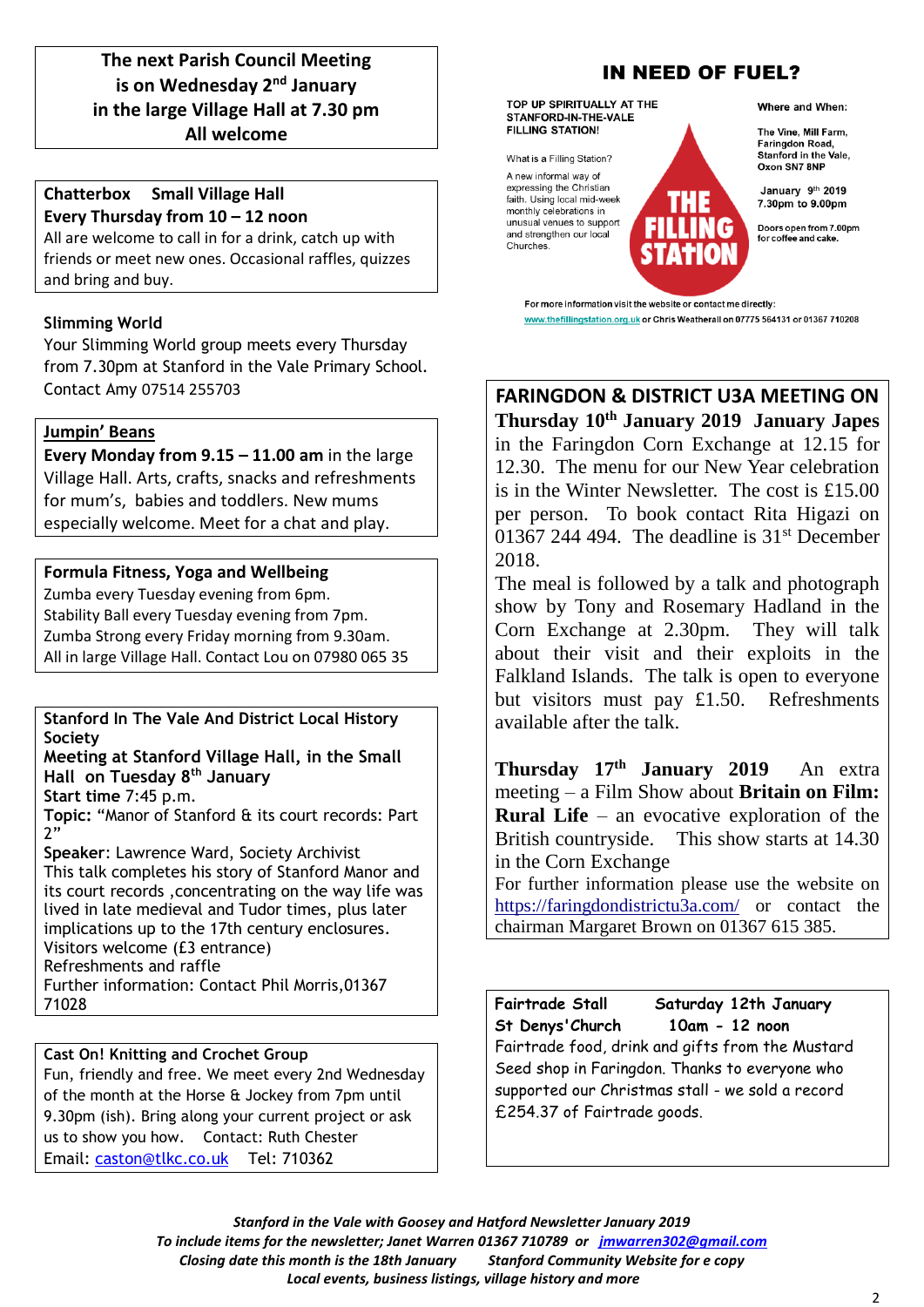## **The next Parish Council Meeting is on Wednesday 2<sup>nd</sup> January in the large Village Hall at 7.30 pm All welcome**

#### **Chatterbox Small Village Hall Every Thursday from 10 – 12 noon**

All are welcome to call in for a drink, catch up with friends or meet new ones. Occasional raffles, quizzes and bring and buy.

#### **Slimming World**

Your Slimming World group meets every Thursday from 7.30pm at Stanford in the Vale Primary School. Contact Amy 07514 255703

#### **Jumpin' Beans**

**Every Monday from 9.15 – 11.00 am** in the large Village Hall. Arts, crafts, snacks and refreshments for mum's, babies and toddlers. New mums especially welcome. Meet for a chat and play.

#### **Formula Fitness, Yoga and Wellbeing**

Zumba every Tuesday evening from 6pm. Stability Ball every Tuesday evening from 7pm. Zumba Strong every Friday morning from 9.30am. All in large Village Hall. Contact Lou on 07980 065 35

#### **Stanford In The Vale And District Local History Society**

#### **Meeting at Stanford Village Hall, in the Small Hall on Tuesday 8th January**

**Start time** 7:45 p.m.

**Topic:** "Manor of Stanford & its court records: Part 2"

**Speaker**: Lawrence Ward, Society Archivist This talk completes his story of Stanford Manor and its court records ,concentrating on the way life was lived in late medieval and Tudor times, plus later implications up to the 17th century enclosures. Visitors welcome (£3 entrance) Refreshments and raffle Further information: Contact Phil Morris,01367 71028

### **Cast On! Knitting and Crochet Group**

Fun, friendly and free. We meet every 2nd Wednesday of the month at the Horse & Jockey from 7pm until 9.30pm (ish). Bring along your current project or ask us to show you how. Contact: Ruth Chester Email: [caston@tlkc.co.uk](mailto:caston@tlkc.co.uk) Tel: 710362

# **IN NEED OF FUEL?**

TOP UP SPIRITUALLY AT THE STANFORD-IN-THE-VALE **FILLING STATION!** 

What is a Filling Station?

A new informal way of expressing the Christian faith. Using local mid-week monthly celebrations in unusual venues to support and strengthen our local Churches.

Where and When:

The Vine, Mill Farm, Faringdon Road Stanford in the Vale. Oxon SN7 8NP

January 9th 2019 7.30pm to 9.00pm

Doors open from 7.00pm for coffee and cake

For more information visit the website or contact me directly: www.thefillingstation.org.uk or Chris Weatherall on 07775 564131 or 01367 710208

### **FARINGDON & DISTRICT U3A MEETING ON Thursday 10th January 2019 January Japes**

in the Faringdon Corn Exchange at 12.15 for 12.30. The menu for our New Year celebration is in the Winter Newsletter. The cost is £15.00 per person. To book contact Rita Higazi on 01367 244 494. The deadline is  $31<sup>st</sup>$  December 2018.

The meal is followed by a talk and photograph show by Tony and Rosemary Hadland in the Corn Exchange at 2.30pm. They will talk about their visit and their exploits in the Falkland Islands. The talk is open to everyone but visitors must pay £1.50. Refreshments available after the talk.

**Thursday 17th January 2019** An extra meeting – a Film Show about **Britain on Film: Rural Life** – an evocative exploration of the British countryside. This show starts at 14.30 in the Corn Exchange

For further information please use the website on <https://faringdondistrictu3a.com/> or contact the chairman Margaret Brown on 01367 615 385.

**Fairtrade Stall Saturday 12th January St Denys'Church 10am - 12 noon**  Fairtrade food, drink and gifts from the Mustard Seed shop in Faringdon. Thanks to everyone who supported our Christmas stall - we sold a record £254.37 of Fairtrade goods.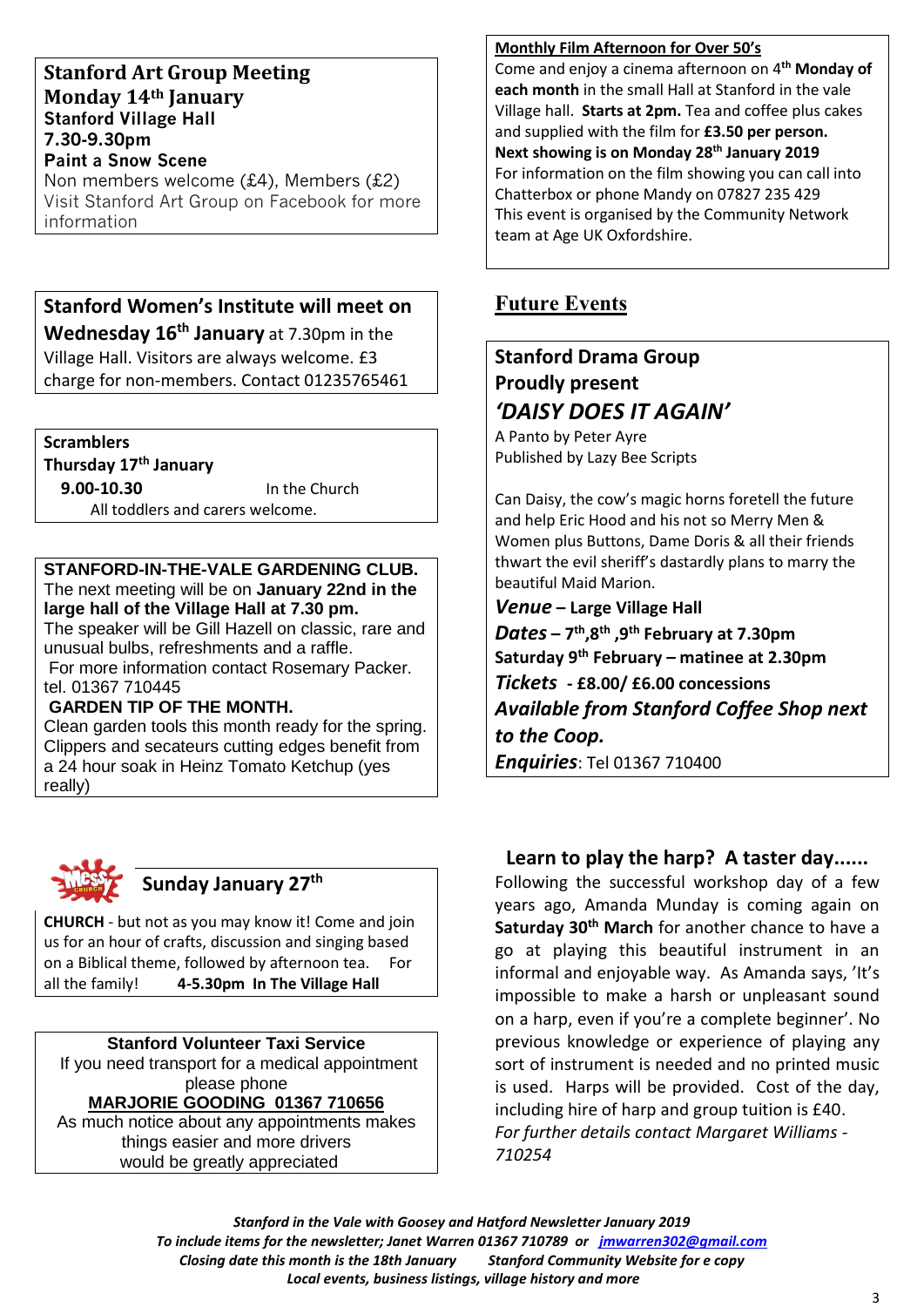#### **Stanford Art Group Meeting Monday 14th January Stanford Village Hall 7.30-9.30pm Paint a Snow Scene**

Non members welcome (£4), Members (£2) Visit Stanford Art Group on Facebook for more information

# **Stanford Women's Institute will meet on Wednesday 16th January** at 7.30pm in the Village Hall. Visitors are always welcome. £3 charge for non-members. Contact 01235765461

**Scramblers**

**Thursday 17th January**

 **9.00-10.30** In the Church All toddlers and carers welcome.

#### **STANFORD-IN-THE-VALE GARDENING CLUB.** The next meeting will be on **January 22nd in the large hall of the Village Hall at 7.30 pm.**

The speaker will be Gill Hazell on classic, rare and unusual bulbs, refreshments and a raffle. For more information contact Rosemary Packer.

tel. 01367 710445

#### **GARDEN TIP OF THE MONTH.**

Clean garden tools this month ready for the spring. Clippers and secateurs cutting edges benefit from a 24 hour soak in Heinz Tomato Ketchup (yes really)



# **Sunday January 27th**

**CHURCH** - but not as you may know it! Come and join us for an hour of crafts, discussion and singing based on a Biblical theme, followed by afternoon tea. For all the family! **4-5.30pm In The Village Hall**

#### **Stanford Volunteer Taxi Service**

If you need transport for a medical appointment please phone

**MARJORIE GOODING 01367 710656**

As much notice about any appointments makes things easier and more drivers would be greatly appreciated

#### **Monthly Film Afternoon for Over 50's**

Come and enjoy a cinema afternoon on 4**th Monday of each month** in the small Hall at Stanford in the vale Village hall. **Starts at 2pm.** Tea and coffee plus cakes and supplied with the film for **£3.50 per person. Next showing is on Monday 28 th January 2019** For information on the film showing you can call into Chatterbox or phone Mandy on 07827 235 429 This event is organised by the Community Network team at Age UK Oxfordshire.

# **Future Events**

# **Stanford Drama Group Proudly present** *'DAISY DOES IT AGAIN'*

A Panto by Peter Ayre Published by Lazy Bee Scripts

Can Daisy, the cow's magic horns foretell the future and help Eric Hood and his not so Merry Men & Women plus Buttons, Dame Doris & all their friends thwart the evil sheriff's dastardly plans to marry the beautiful Maid Marion.

*Venue* **– Large Village Hall**

*Dates* **– 7 th ,8th ,9th February at 7.30pm Saturday 9th February – matinee at 2.30pm** *Tickets* **- £8.00/ £6.00 concessions** *Available from Stanford Coffee Shop next to the Coop. Enquiries*: Tel 01367 710400

# **Learn to play the harp? A taster day......**

Following the successful workshop day of a few years ago, Amanda Munday is coming again on **Saturday 30th March** for another chance to have a go at playing this beautiful instrument in an informal and enjoyable way. As Amanda says, 'It's impossible to make a harsh or unpleasant sound on a harp, even if you're a complete beginner'. No previous knowledge or experience of playing any sort of instrument is needed and no printed music is used. Harps will be provided. Cost of the day, including hire of harp and group tuition is £40. *For further details contact Margaret Williams - 710254*